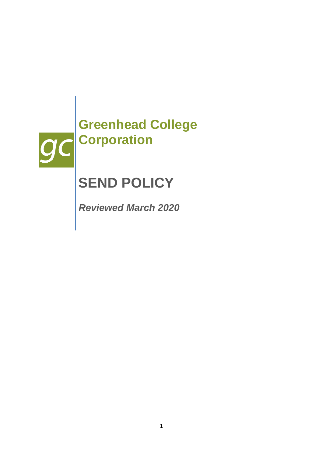

# **SEND POLICY**

*Reviewed March 2020*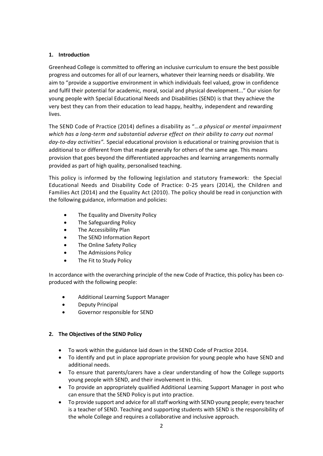# **1. Introduction**

Greenhead College is committed to offering an inclusive curriculum to ensure the best possible progress and outcomes for all of our learners, whatever their learning needs or disability. We aim to "provide a supportive environment in which individuals feel valued, grow in confidence and fulfil their potential for academic, moral, social and physical development..." Our vision for young people with Special Educational Needs and Disabilities (SEND) is that they achieve the very best they can from their education to lead happy, healthy, independent and rewarding lives.

The SEND Code of Practice (2014) defines a disability as "…*a physical or mental impairment which has a long-term and substantial adverse effect on their ability to carry out normal day-to-day activities".* Special educational provision is educational or training provision that is additional to or different from that made generally for others of the same age. This means provision that goes beyond the differentiated approaches and learning arrangements normally provided as part of high quality, personalised teaching.

This policy is informed by the following legislation and statutory framework: the Special Educational Needs and Disability Code of Practice: 0-25 years (2014), the Children and Families Act (2014) and the Equality Act (2010). The policy should be read in conjunction with the following guidance, information and policies:

- The Equality and Diversity Policy
- The Safeguarding Policy
- The Accessibility Plan
- The SEND Information Report
- The Online Safety Policy
- The Admissions Policy
- The Fit to Study Policy

In accordance with the overarching principle of the new Code of Practice, this policy has been coproduced with the following people:

- Additional Learning Support Manager
- Deputy Principal
- Governor responsible for SEND

# **2. The Objectives of the SEND Policy**

- To work within the guidance laid down in the SEND Code of Practice 2014.
- To identify and put in place appropriate provision for young people who have SEND and additional needs.
- To ensure that parents/carers have a clear understanding of how the College supports young people with SEND, and their involvement in this.
- To provide an appropriately qualified Additional Learning Support Manager in post who can ensure that the SEND Policy is put into practice.
- To provide support and advice for all staff working with SEND young people; every teacher is a teacher of SEND. Teaching and supporting students with SEND is the responsibility of the whole College and requires a collaborative and inclusive approach.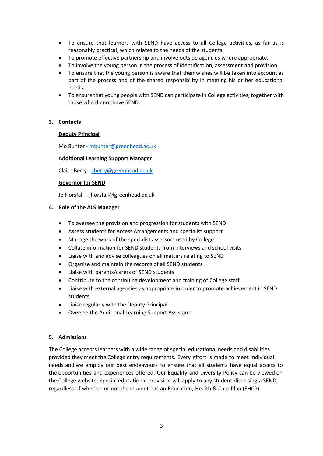- To ensure that learners with SEND have access to all College activities, as far as is reasonably practical, which relates to the needs of the students.
- To promote effective partnership and involve outside agencies where appropriate.
- To involve the young person in the process of identification, assessment and provision.
- To ensure that the young person is aware that their wishes will be taken into account as part of the process and of the shared responsibility in meeting his or her educational needs.
- To ensure that young people with SEND can participate in College activities, together with those who do not have SEND.

## **3. Contacts**

#### **Deputy Principal**

Mo Bunter - [mbunter@greenhead.ac.uk](mailto:mbunter@greenhead.ac.uk)

#### **Additional Learning Support Manager**

Claire Berry - [cberry@greenhead.ac.uk](mailto:cberry@greenhead.ac.uk)

#### **Governor for SEND**

Jo Horsfall – jhorsfall@greenhead.ac.uk

#### **4. Role of the ALS Manager**

- To oversee the provision and progression for students with SEND
- Assess students for Access Arrangements and specialist support
- Manage the work of the specialist assessors used by College
- Collate information for SEND students from interviews and school visits
- Liaise with and advise colleagues on all matters relating to SEND
- Organise and maintain the records of all SEND students
- Liaise with parents/carers of SEND students
- Contribute to the continuing development and training of College staff
- Liaise with external agencies as appropriate in order to promote achievement in SEND students
- Liaise regularly with the Deputy Principal
- Oversee the Additional Learning Support Assistants

#### **5. Admissions**

The College accepts learners with a wide range of special educational needs and disabilities provided they meet the College entry requirements. Every effort is made to meet individual needs and we employ our best endeavours to ensure that all students have equal access to the opportunities and experiences offered. Our Equality and Diversity Policy can be viewed on the College website. Special educational provision will apply to any student disclosing a SEND, regardless of whether or not the student has an Education, Health & Care Plan (EHCP).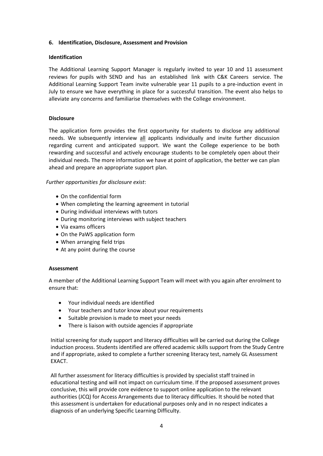#### **6. Identification, Disclosure, Assessment and Provision**

### **Identification**

The Additional Learning Support Manager is regularly invited to year 10 and 11 assessment reviews for pupils with SEND and has an established link with C&K Careers service. The Additional Learning Support Team invite vulnerable year 11 pupils to a pre-induction event in July to ensure we have everything in place for a successful transition. The event also helps to alleviate any concerns and familiarise themselves with the College environment.

## **Disclosure**

The application form provides the first opportunity for students to disclose any additional needs. We subsequently interview all applicants individually and invite further discussion regarding current and anticipated support. We want the College experience to be both rewarding and successful and actively encourage students to be completely open about their individual needs. The more information we have at point of application, the better we can plan ahead and prepare an appropriate support plan.

## *Further opportunities for disclosure exist*:

- On the confidential form
- When completing the learning agreement in tutorial
- During individual interviews with tutors
- During monitoring interviews with subject teachers
- Via exams officers
- On the PaWS application form
- When arranging field trips
- At any point during the course

#### **Assessment**

A member of the Additional Learning Support Team will meet with you again after enrolment to ensure that:

- Your individual needs are identified
- Your teachers and tutor know about your requirements
- Suitable provision is made to meet your needs
- There is liaison with outside agencies if appropriate

Initial screening for study support and literacy difficulties will be carried out during the College induction process. Students identified are offered academic skills support from the Study Centre and if appropriate, asked to complete a further screening literacy test, namely GL Assessment EXACT.

All further assessment for literacy difficulties is provided by specialist staff trained in educational testing and will not impact on curriculum time. If the proposed assessment proves conclusive, this will provide core evidence to support online application to the relevant authorities (JCQ) for Access Arrangements due to literacy difficulties. It should be noted that this assessment is undertaken for educational purposes only and in no respect indicates a diagnosis of an underlying Specific Learning Difficulty.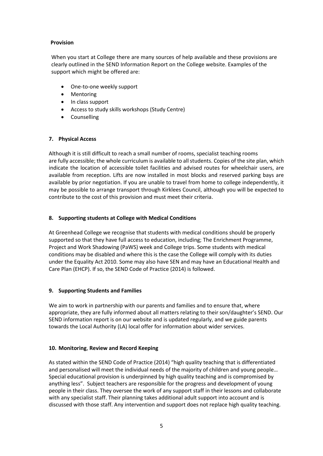## **Provision**

When you start at College there are many sources of help available and these provisions are clearly outlined in the SEND Information Report on the College website. Examples of the support which might be offered are:

- One-to-one weekly support
- Mentoring
- In class support
- Access to study skills workshops (Study Centre)
- **•** Counselling

# **7. Physical Access**

Although it is still difficult to reach a small number of rooms, specialist teaching rooms are fully accessible; the whole curriculum is available to all students. Copies of the site plan, which indicate the location of accessible toilet facilities and advised routes for wheelchair users, are available from reception. Lifts are now installed in most blocks and reserved parking bays are available by prior negotiation. If you are unable to travel from home to college independently, it may be possible to arrange transport through Kirklees Council, although you will be expected to contribute to the cost of this provision and must meet their criteria.

# **8. Supporting students at College with Medical Conditions**

At Greenhead College we recognise that students with medical conditions should be properly supported so that they have full access to education, including; The Enrichment Programme, Project and Work Shadowing (PaWS) week and College trips. Some students with medical conditions may be disabled and where this is the case the College will comply with its duties under the Equality Act 2010. Some may also have SEN and may have an Educational Health and Care Plan (EHCP). If so, the SEND Code of Practice (2014) is followed.

# **9. Supporting Students and Families**

We aim to work in partnership with our parents and families and to ensure that, where appropriate, they are fully informed about all matters relating to their son/daughter's SEND. Our SEND information report is on our website and is updated regularly, and we guide parents towards the Local Authority (LA) local offer for information about wider services.

# **10. Monitoring**, **Review and Record Keeping**

As stated within the SEND Code of Practice (2014) "high quality teaching that is differentiated and personalised will meet the individual needs of the majority of children and young people… Special educational provision is underpinned by high quality teaching and is compromised by anything less". Subject teachers are responsible for the progress and development of young people in their class. They oversee the work of any support staff in their lessons and collaborate with any specialist staff. Their planning takes additional adult support into account and is discussed with those staff. Any intervention and support does not replace high quality teaching.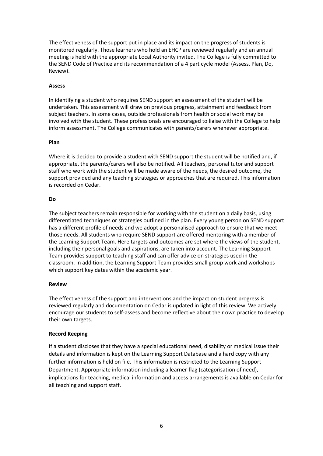The effectiveness of the support put in place and its impact on the progress of students is monitored regularly. Those learners who hold an EHCP are reviewed regularly and an annual meeting is held with the appropriate Local Authority invited. The College is fully committed to the SEND Code of Practice and its recommendation of a 4 part cycle model (Assess, Plan, Do, Review).

#### **Assess**

In identifying a student who requires SEND support an assessment of the student will be undertaken. This assessment will draw on previous progress, attainment and feedback from subject teachers. In some cases, outside professionals from health or social work may be involved with the student. These professionals are encouraged to liaise with the College to help inform assessment. The College communicates with parents/carers whenever appropriate.

## **Plan**

Where it is decided to provide a student with SEND support the student will be notified and, if appropriate, the parents/carers will also be notified. All teachers, personal tutor and support staff who work with the student will be made aware of the needs, the desired outcome, the support provided and any teaching strategies or approaches that are required. This information is recorded on Cedar.

## **Do**

The subject teachers remain responsible for working with the student on a daily basis, using differentiated techniques or strategies outlined in the plan. Every young person on SEND support has a different profile of needs and we adopt a personalised approach to ensure that we meet those needs. All students who require SEND support are offered mentoring with a member of the Learning Support Team. Here targets and outcomes are set where the views of the student, including their personal goals and aspirations, are taken into account. The Learning Support Team provides support to teaching staff and can offer advice on strategies used in the classroom. In addition, the Learning Support Team provides small group work and workshops which support key dates within the academic year.

# **Review**

The effectiveness of the support and interventions and the impact on student progress is reviewed regularly and documentation on Cedar is updated in light of this review. We actively encourage our students to self-assess and become reflective about their own practice to develop their own targets.

# **Record Keeping**

If a student discloses that they have a special educational need, disability or medical issue their details and information is kept on the Learning Support Database and a hard copy with any further information is held on file. This information is restricted to the Learning Support Department. Appropriate information including a learner flag (categorisation of need), implications for teaching, medical information and access arrangements is available on Cedar for all teaching and support staff.